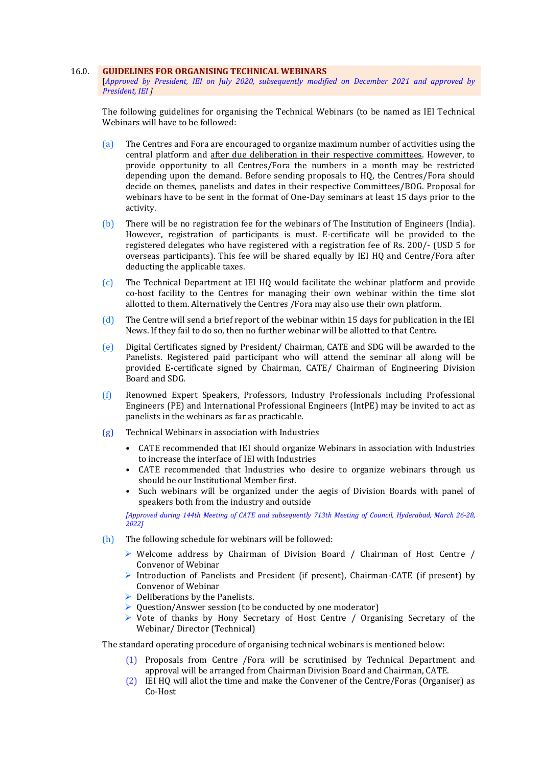#### 16.0. **GUIDELINES FOR ORGANISING TECHNICAL WEBINARS**

[*Approved by President, IEI on July 2020, subsequently modified on December 2021 and approved by President, IEI ]*

The following guidelines for organising the Technical Webinars (to be named as IEI Technical Webinars will have to be followed:

- (a) The Centres and Fora are encouraged to organize maximum number of activities using the central platform and after due deliberation in their respective committees. However, to provide opportunity to all Centres/Fora the numbers in a month may be restricted depending upon the demand. Before sending proposals to HQ, the Centres/Fora should decide on themes, panelists and dates in their respective Committees/BOG. Proposal for webinars have to be sent in the format of One-Day seminars at least 15 days prior to the activity.
- (b) There will be no registration fee for the webinars of The Institution of Engineers (India). However, registration of participants is must. E-certificate will be provided to the registered delegates who have registered with a registration fee of Rs. 200/- (USD 5 for overseas participants). This fee will be shared equally by IEI HQ and Centre/Fora after deducting the applicable taxes.
- (c) The Technical Department at IEI HQ would facilitate the webinar platform and provide co-host facility to the Centres for managing their own webinar within the time slot allotted to them. Alternatively the Centres /Fora may also use their own platform.
- (d) The Centre will send a brief report of the webinar within 15 days for publication in the IEI News. If they fail to do so, then no further webinar will be allotted to that Centre.
- (e) Digital Certificates signed by President/ Chairman, CATE and SDG will be awarded to the Panelists. Registered paid participant who will attend the seminar all along will be provided E-certificate signed by Chairman, CATE/ Chairman of Engineering Division Board and SDG.
- (f) Renowned Expert Speakers, Professors, Industry Professionals including Professional Engineers (PE) and International Professional Engineers (IntPE) may be invited to act as panelists in the webinars as far as practicable.
- (g) Technical Webinars in association with Industries
	- CATE recommended that IEI should organize Webinars in association with Industries to increase the interface of IEI with Industries
	- CATE recommended that Industries who desire to organize webinars through us should be our Institutional Member first.
	- Such webinars will be organized under the aegis of Division Boards with panel of speakers both from the industry and outside

*[Approved during 144th Meeting of CATE and subsequently 713th Meeting of Council, Hyderabad, March 26-28, 2022]*

- (h) The following schedule for webinars will be followed:
	- $\triangleright$  Welcome address by Chairman of Division Board / Chairman of Host Centre / Convenor of Webinar
	- Introduction of Panelists and President (if present), Chairman-CATE (if present) by Convenor of Webinar
	- $\triangleright$  Deliberations by the Panelists.
	- $\triangleright$  Ouestion/Answer session (to be conducted by one moderator)
	- $\triangleright$  Vote of thanks by Hony Secretary of Host Centre / Organising Secretary of the Webinar/ Director (Technical)

The standard operating procedure of organising technical webinars is mentioned below:

- (1) Proposals from Centre /Fora will be scrutinised by Technical Department and approval will be arranged from Chairman Division Board and Chairman, CATE.
- (2) IEI HQ will allot the time and make the Convener of the Centre/Foras (Organiser) as Co-Host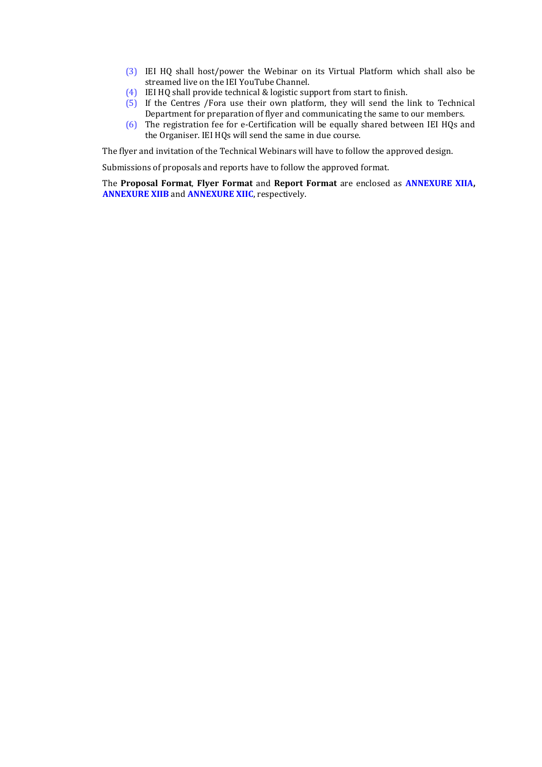- (3) IEI HQ shall host/power the Webinar on its Virtual Platform which shall also be streamed live on the IEI YouTube Channel.
- (4) IEI HQ shall provide technical & logistic support from start to finish.
- (5) If the Centres /Fora use their own platform, they will send the link to Technical Department for preparation of flyer and communicating the same to our members.
- (6) The registration fee for e-Certification will be equally shared between IEI HQs and the Organiser. IEI HQs will send the same in due course.

The flyer and invitation of the Technical Webinars will have to follow the approved design.

Submissions of proposals and reports have to follow the approved format.

The **Proposal Format**, **Flyer Format** and **Report Format** are enclosed as **ANNEXURE XIIA, ANNEXURE XIIB** and **ANNEXURE XIIC**, respectively.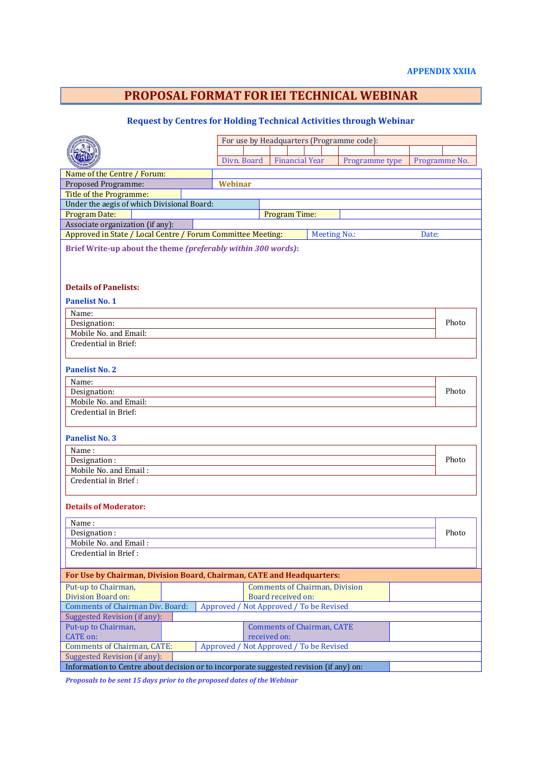## **PROPOSAL FORMAT FOR IEI TECHNICAL WEBINAR**

### **Request by Centres for Holding Technical Activities through Webinar**

|                                                                                                                              | For use by Headquarters (Programme code): |                                       |                |  |               |       |  |  |  |  |
|------------------------------------------------------------------------------------------------------------------------------|-------------------------------------------|---------------------------------------|----------------|--|---------------|-------|--|--|--|--|
|                                                                                                                              |                                           |                                       |                |  |               |       |  |  |  |  |
|                                                                                                                              | Divn. Board                               | <b>Financial Year</b>                 | Programme type |  | Programme No. |       |  |  |  |  |
| Name of the Centre / Forum:                                                                                                  |                                           |                                       |                |  |               |       |  |  |  |  |
| Proposed Programme:                                                                                                          | Webinar                                   |                                       |                |  |               |       |  |  |  |  |
| Title of the Programme:                                                                                                      |                                           |                                       |                |  |               |       |  |  |  |  |
| Under the aegis of which Divisional Board:                                                                                   |                                           |                                       |                |  |               |       |  |  |  |  |
| <b>Program Date:</b>                                                                                                         | Program Time:                             |                                       |                |  |               |       |  |  |  |  |
| Associate organization (if any):                                                                                             |                                           |                                       |                |  |               |       |  |  |  |  |
| Approved in State / Local Centre / Forum Committee Meeting:<br><b>Meeting No.:</b><br>Date:                                  |                                           |                                       |                |  |               |       |  |  |  |  |
| Brief Write-up about the theme (preferably within 300 words):                                                                |                                           |                                       |                |  |               |       |  |  |  |  |
| <b>Details of Panelists:</b><br><b>Panelist No. 1</b>                                                                        |                                           |                                       |                |  |               |       |  |  |  |  |
| Name:                                                                                                                        |                                           |                                       |                |  |               |       |  |  |  |  |
| Designation:                                                                                                                 |                                           |                                       |                |  |               | Photo |  |  |  |  |
| Mobile No. and Email:                                                                                                        |                                           |                                       |                |  |               |       |  |  |  |  |
| Credential in Brief:                                                                                                         |                                           |                                       |                |  |               |       |  |  |  |  |
|                                                                                                                              |                                           |                                       |                |  |               |       |  |  |  |  |
|                                                                                                                              |                                           |                                       |                |  |               |       |  |  |  |  |
| <b>Panelist No. 2</b>                                                                                                        |                                           |                                       |                |  |               |       |  |  |  |  |
| Name:                                                                                                                        |                                           |                                       |                |  |               |       |  |  |  |  |
| Designation:                                                                                                                 |                                           |                                       |                |  |               | Photo |  |  |  |  |
| Mobile No. and Email:                                                                                                        |                                           |                                       |                |  |               |       |  |  |  |  |
| Credential in Brief:                                                                                                         |                                           |                                       |                |  |               |       |  |  |  |  |
|                                                                                                                              |                                           |                                       |                |  |               |       |  |  |  |  |
| <b>Panelist No. 3</b>                                                                                                        |                                           |                                       |                |  |               |       |  |  |  |  |
| Name:                                                                                                                        |                                           |                                       |                |  |               |       |  |  |  |  |
| Designation:                                                                                                                 |                                           |                                       |                |  |               | Photo |  |  |  |  |
| Mobile No. and Email:                                                                                                        |                                           |                                       |                |  |               |       |  |  |  |  |
| Credential in Brief:                                                                                                         |                                           |                                       |                |  |               |       |  |  |  |  |
|                                                                                                                              |                                           |                                       |                |  |               |       |  |  |  |  |
| <b>Details of Moderator:</b>                                                                                                 |                                           |                                       |                |  |               |       |  |  |  |  |
| Name:                                                                                                                        |                                           |                                       |                |  |               |       |  |  |  |  |
| Designation:                                                                                                                 |                                           |                                       |                |  |               | Photo |  |  |  |  |
| Mobile No. and Email:                                                                                                        |                                           |                                       |                |  |               |       |  |  |  |  |
| Credential in Brief:                                                                                                         |                                           |                                       |                |  |               |       |  |  |  |  |
|                                                                                                                              |                                           |                                       |                |  |               |       |  |  |  |  |
| For Use by Chairman, Division Board, Chairman, CATE and Headquarters:                                                        |                                           |                                       |                |  |               |       |  |  |  |  |
| Put-up to Chairman,                                                                                                          |                                           | <b>Comments of Chairman, Division</b> |                |  |               |       |  |  |  |  |
| Division Board on:                                                                                                           |                                           | Board received on:                    |                |  |               |       |  |  |  |  |
| <b>Comments of Chairman Div. Board:</b><br>Approved /<br>Not Approved / To be Revised<br><b>Suggested Revision (if any):</b> |                                           |                                       |                |  |               |       |  |  |  |  |
| Put-up to Chairman,                                                                                                          |                                           | <b>Comments of Chairman, CATE</b>     |                |  |               |       |  |  |  |  |
| <b>CATE</b> on:                                                                                                              |                                           | received on:                          |                |  |               |       |  |  |  |  |
| <b>Comments of Chairman, CATE:</b>                                                                                           |                                           |                                       |                |  |               |       |  |  |  |  |
| Approved / Not Approved / To be Revised<br><b>Suggested Revision (if any):</b>                                               |                                           |                                       |                |  |               |       |  |  |  |  |
| Information to Centre about decision or to incorporate suggested revision (if any) on:                                       |                                           |                                       |                |  |               |       |  |  |  |  |
|                                                                                                                              |                                           |                                       |                |  |               |       |  |  |  |  |

*Proposals to be sent 15 days prior to the proposed dates of the Webinar*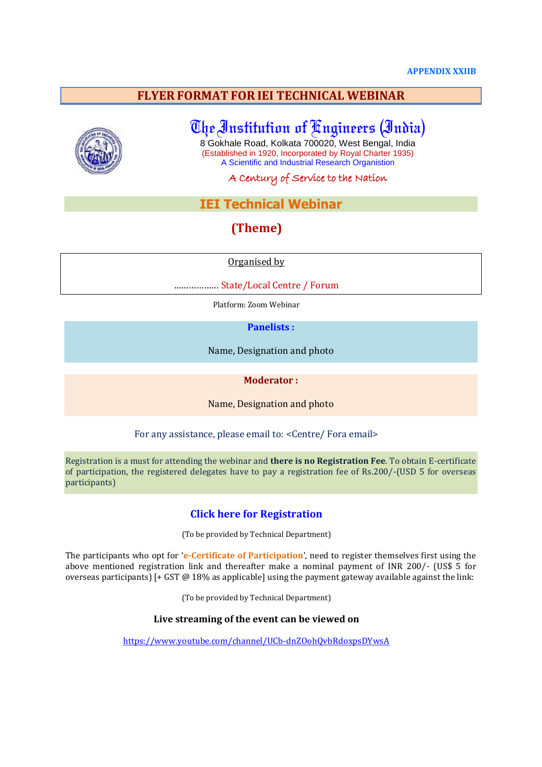### **FLYER FORMAT FOR IEI TECHNICAL WEBINAR**



# The Institution of Engineers (India)

8 Gokhale Road, Kolkata 700020, West Bengal, India (Established in 1920, Incorporated by Royal Charter 1935) A Scientific and Industrial Research Organistion

A Century of Service to the Nation

### **IEI Technical Webinar**

### **(Theme)**

Organised by

……………… State/Local Centre / Forum

Platform: Zoom Webinar

**Panelists :**

Name, Designation and photo

#### **Moderator :**

Name, Designation and photo

For any assistance, please email to: <Centre/ Fora email>

Registration is a must for attending the webinar and **there is no Registration Fee**. To obtain E-certificate of participation, the registered delegates have to pay a registration fee of Rs.200/-(USD 5 for overseas participants)

### **Click here for Registration**

(To be provided by Technical Department)

The participants who opt for '**e-Certificate of Participation**', need to register themselves first using the above mentioned registration link and thereafter make a nominal payment of INR 200/- (US\$ 5 for overseas participants) [+ GST @ 18% as applicable] using the payment gateway available against the link:

(To be provided by Technical Department)

### **Live streaming of the event can be viewed on**

https://www.youtube.com/channel/UCb-dnZOohQvbRdoxpsDYwsA